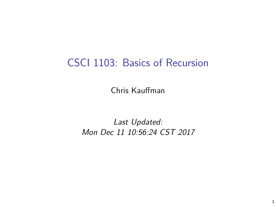## CSCI 1103: Basics of Recursion

Chris Kauffman

Last Updated: Mon Dec 11 10:56:24 CST 2017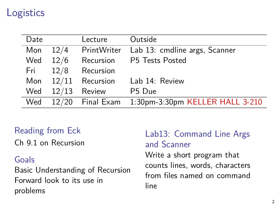# **Logistics**

| Date |       | Lecture          | Outside                         |
|------|-------|------------------|---------------------------------|
| Mon  | 12/4  | PrintWriter      | Lab 13: cmdline args, Scanner   |
| Wed  | 12/6  | Recursion        | P5 Tests Posted                 |
| Fri  | 12/8  | Recursion        |                                 |
| Mon  | 12/11 | Recursion        | Lab 14: Review                  |
| Wed  | 12/13 | Review           | P <sub>5</sub> Due              |
| Wed  |       | 12/20 Final Exam | 1:30pm-3:30pm KELLER HALL 3-210 |

### Reading from Eck

Ch 9.1 on Recursion

#### Goals

Basic Understanding of Recursion Forward look to its use in problems

### Lab13: Command Line Args and Scanner

Write a short program that counts lines, words, characters from files named on command line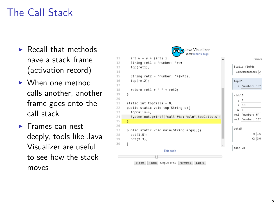# The Call Stack

- $\blacktriangleright$  Recall that methods have a stack frame (activation record)
- $\blacktriangleright$  When one method calls another, another frame goes onto the call stack
- $\blacktriangleright$  Frames can nest deeply, tools like Java Visualizer are useful to see how the stack moves

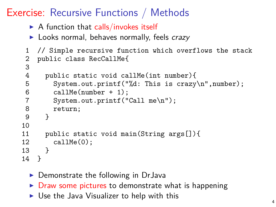Exercise: Recursive Functions / Methods

- $\triangleright$  A function that calls/invokes itself
- $\blacktriangleright$  Looks normal, behaves normally, feels crazy

```
1 // Simple recursive function which overflows the stack
2 public class RecCallMe{
```

```
3<br>4
 4 public static void callMe(int number){<br>5 System.out.printf("%d: This is crazy
          5 System.out.printf("%d: This is crazy\n",number);
 6 callMe(number + 1);<br>7 System.out.printf("
          System.out.print("Call me\n');
8 return;<br>9 }
       \mathcal{P}10
11 public static void main(String args[]){
12 callMe(0);<br>13 }
13 }
14 }
```
- $\triangleright$  Demonstrate the following in DrJava
- $\triangleright$  Draw some pictures to demonstrate what is happening
- $\triangleright$  Use the Java Visualizer to help with this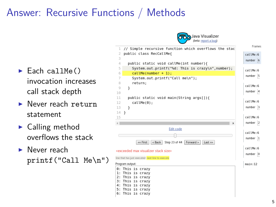# Answer: Recursive Functions / Methods

- $\blacktriangleright$  Each callMe() invocation increases call stack depth
- **Never reach return** statement
- $\blacktriangleright$  Calling method overflows the stack
- **Never reach** printf("Call Me\n")



ava Visualizer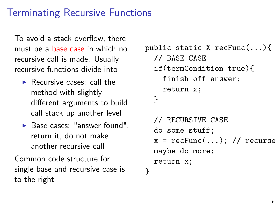# Terminating Recursive Functions

To avoid a stack overflow, there must be a base case in which no recursive call is made. Usually recursive functions divide into

- $\blacktriangleright$  Recursive cases: call the method with slightly different arguments to build call stack up another level
- $\blacktriangleright$  Base cases: "answer found". return it, do not make another recursive call

Common code structure for single base and recursive case is to the right

```
public static X recFunc(...){
  // BASE CASE
  if(termCondition true){
    finish off answer;
    return x;
  }
  // RECURSIVE CASE
  do some stuff;
  x = recFunc(...); // recursivemaybe do more;
  return x;
}
```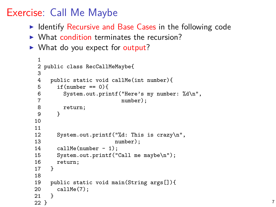## Exercise: Call Me Maybe

- $\triangleright$  Identify Recursive and Base Cases in the following code
- $\triangleright$  What condition terminates the recursion?
- $\triangleright$  What do you expect for output?

```
1
 2 public class RecCallMeMaybe{
 3
 4 public static void callMe(int number){<br>5 if(number == 0){
 5 if(number == 0){<br>6 System.out.pri
 6 System.out.printf("Here's my number: \sqrt[n]{d \n},<br>7 number:
 7 number);<br>8 return;
 8 return;<br>9 }
       9 }
10
11<br>1212 System.out.printf("%d: This is crazy\n",<br>13 number).
13 number);<br>14 callMe(number - 1):
14 callMe(number - 1);<br>15 System out printf("
15 System.out.printf("Call me maybe\n");<br>16 return:
     return;<br>}
17 }
18<br>19
19 public static void main(String args[]){<br>20 callMe(7):
     cal1Me(7);21 }
22 } \sqrt{7}
```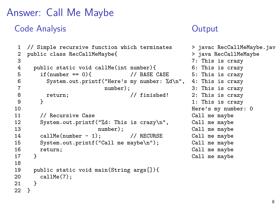## Answer: Call Me Maybe

### Code Analysis

```
1 // Simple recursive function which terminates
 2 public class RecCallMeMaybe{
 3
 4 public static void callMe(int number){<br>5 if(number == 0){ // BASE CASE
 5 if(number == 0){<br>6 System.out.prin
 6 System.out.printf("Here's my number: %d\n",
 7 number);<br>8 return:
 8 return; \frac{1}{9} // finished!
         9 }
10<br>11
11 // Recursive Case<br>12 System.out.printf
         System.out.printf("%d: This is crazy\n",
13 number);
14 callMe(number - 1); // RECURSE<br>15 System.out.printf("Call me maybe\n"):
15 System.out.printf("Call me maybe\n");<br>16 return:
       return;
17 }
18
19 public static void main(String args[]){<br>20 callMe(7):
       \begin{align*}\n \text{callMe(7)}; \\
 \end{align*}21 }
22 }
```
### **Output**

```
> javac RecCallMeMaybe.java
> java RecCallMeMaybe
7: This is crazy
6: This is crazy
5: This is crazy
4: This is crazy
3: This is crazy
2: This is crazy
1: This is crazy
Here's my number: 0
Call me maybe
Call me maybe
Call me maybe
Call me maybe
Call me maybe
Call me maybe
Call me maybe
```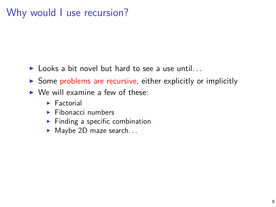## Why would I use recursion?

- $\blacktriangleright$  Looks a bit novel but hard to see a use until...
- $\triangleright$  Some problems are recursive, either explicitly or implicitly
- $\triangleright$  We will examine a few of these:
	- $\blacktriangleright$  Factorial
	- $\blacktriangleright$  Fibonacci numbers
	- $\blacktriangleright$  Finding a specific combination
	- $\blacktriangleright$  Maybe 2D maze search...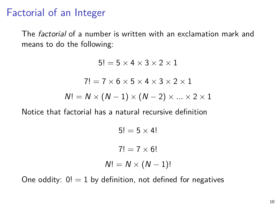## Factorial of an Integer

The factorial of a number is written with an exclamation mark and means to do the following:

> $5! = 5 \times 4 \times 3 \times 2 \times 1$  $7! = 7 \times 6 \times 5 \times 4 \times 3 \times 2 \times 1$  $N! = N \times (N-1) \times (N-2) \times ... \times 2 \times 1$

Notice that factorial has a natural recursive definition

$$
5! = 5 \times 4!
$$
  
7! = 7 \times 6!  

$$
N! = N \times (N - 1)!
$$

One oddity:  $0! = 1$  by definition, not defined for negatives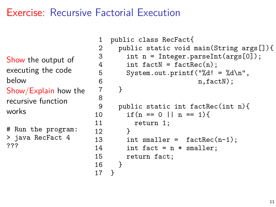## Exercise: Recursive Factorial Execution

Show the output of executing the code below Show/Explain how the recursive function works # Run the program:

> java RecFact 4 ???

```
1 public class RecFact{
2 public static void main(String args[]){<br>3 int n = Integer.parseInt(args[0]);
3 int n = Integer.parseInt(args[0]);<br>4 int factN = factRec(n):
         int factN = factRec(n);
 5 System.out.printf("%d! = \&d\n",
\begin{array}{ccc} 6 & & \text{n,factN}; \\ 7 & & \end{array}7 }
8
9 public static int factRec(int n){
10 if(n == 0) | n == 1)11 return 1;
12 }
13 int smaller = factor(-1):
14 int fact = n * smaller;
15 return fact;
16 }
17 }
```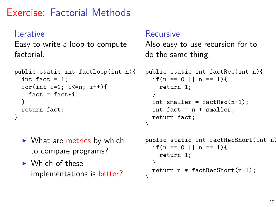# Exercise: Factorial Methods

#### Iterative

Easy to write a loop to compute factorial.

```
public static int factLoop(int n){
  int fact = 1;
  for(int i=1; i<=n; i++){
    fact = fact * i;}
  return fact;
}
```
- $\triangleright$  What are metrics by which to compare programs?
- $\triangleright$  Which of these implementations is better?

#### Recursive

Also easy to use recursion for to do the same thing.

```
public static int factRec(int n){
  if(n == 0 || n == 1){
    return 1;
  }
  int smaller = factor(n-1);
  int fact = n * smaller;
  return fact;
}
```

```
public static int factRecShort(int n){
  if(n == 0 || n == 1){
    return 1;
  }
  return n * factRecShort(n-1);
}
```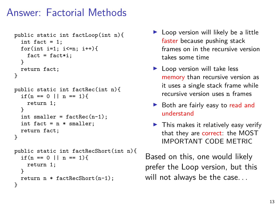# Answer: Factorial Methods

```
public static int factLoop(int n){
  int fact = 1;
  for(int i=1; i<=n; i++)fact = fact * i:}
  return fact;
}
public static int factRec(int n){
  if(n == 0 || n == 1)return 1;
  }
  int smaller = factRec(n-1):
  int fact = n * smaller;
  return fact;
}
public static int factRecShort(int n){
  if(n == 0 || n == 1)return 1;
  }
  return n * factRecShort(n-1);
}
```
- $\blacktriangleright$  Loop version will likely be a little faster because pushing stack frames on in the recursive version takes some time
- $\blacktriangleright$  Loop version will take less memory than recursive version as it uses a single stack frame while recursive version uses n frames
- $\triangleright$  Both are fairly easy to read and understand
- $\blacktriangleright$  This makes it relatively easy verify that they are correct: the MOST IMPORTANT CODE METRIC

Based on this, one would likely prefer the Loop version, but this will not always be the case. . .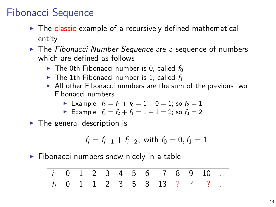# Fibonacci Sequence

- $\blacktriangleright$  The classic example of a recursively defined mathematical entity
- $\blacktriangleright$  The Fibonacci Number Sequence are a sequence of numbers which are defined as follows
	- $\triangleright$  The 0th Fibonacci number is 0, called  $f_0$
	- $\triangleright$  The 1th Fibonacci number is 1, called  $f_1$
	- $\blacktriangleright$  All other Fibonacci numbers are the sum of the previous two Fibonacci numbers
		- Example:  $f_2 = f_1 + f_0 = 1 + 0 = 1$ ; so  $f_2 = 1$
		- Example:  $f_3 = f_2 + f_1 = 1 + 1 = 2$ ; so  $f_3 = 2$

 $\blacktriangleright$  The general description is

$$
f_i = f_{i-1} + f_{i-2}, \text{ with } f_0 = 0, f_1 = 1
$$

 $\blacktriangleright$  Fibonacci numbers show nicely in a table

$$
\begin{array}{ccccccccccccccccccccc}\n i & 0 & 1 & 2 & 3 & 4 & 5 & 6 & 7 & 8 & 9 & 10 & \dots \\
\hline\nf_i & 0 & 1 & 1 & 2 & 3 & 5 & 8 & 13 & ? & ? & ? & \dots\n\end{array}
$$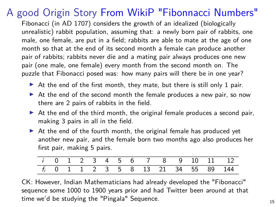# A good Origin Story [From WikiP "Fibonnacci Numbers"](https://en.wikipedia.org/wiki/Fibonacci_number)

Fibonacci (in AD 1707) considers the growth of an idealized (biologically unrealistic) rabbit population, assuming that: a newly born pair of rabbits, one male, one female, are put in a field; rabbits are able to mate at the age of one month so that at the end of its second month a female can produce another pair of rabbits; rabbits never die and a mating pair always produces one new pair (one male, one female) every month from the second month on. The puzzle that Fibonacci posed was: how many pairs will there be in one year?

- $\blacktriangleright$  At the end of the first month, they mate, but there is still only 1 pair.
- $\triangleright$  At the end of the second month the female produces a new pair, so now there are 2 pairs of rabbits in the field.
- $\triangleright$  At the end of the third month, the original female produces a second pair, making 3 pairs in all in the field.
- $\triangleright$  At the end of the fourth month, the original female has produced yet another new pair, and the female born two months ago also produces her first pair, making 5 pairs.

|  |  |  |  |  |  | <i>i</i> 0 1 2 3 4 5 6 7 8 9 10 11 12           |
|--|--|--|--|--|--|-------------------------------------------------|
|  |  |  |  |  |  | f <sub>i</sub> 0 1 1 2 3 5 8 13 21 34 55 89 144 |

CK: However, Indian Mathematicians had already developed the "Fibonacci" sequence some 1000 to 1900 years prior and had Twitter been around at that time we'd be studying the "Pingala" Sequence. 15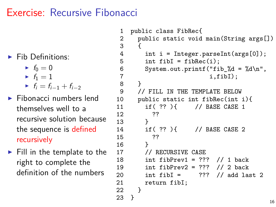### Exercise: Recursive Fibonacci

- $\blacktriangleright$  Fib Definitions:
	- $\blacktriangleright$   $f_0 = 0$
	- $\blacktriangleright$   $f_1 = 1$
	- $\blacksquare$  f<sub>i</sub> = f<sub>i-1</sub> + f<sub>i-2</sub>
- $\blacktriangleright$  Fibonacci numbers lend themselves well to a recursive solution because the sequence is defined recursively
- $\blacktriangleright$  Fill in the template to the right to complete the definition of the numbers

```
1 public class FibRec{
      public static void main(String args[])
 3 {
4 int i = Integer.parseInt(args[0]);<br>5 int fibI = fibRec(i):
5 int fibI = fibRec(i);<br>6 System.out.printf("fi
6 System.out.printf("fib_%d = %d\n",<br>7 i.fibI);
      i, fibI);8 }
      9 // FILL IN THE TEMPLATE BELOW
10 public static int fibRec(int i){
11 if( ?? ){ // BASE CASE 1
\begin{array}{ccc} 12 & & & ?? \\ 13 & & & \end{array}13 }<br>14 if( ?? ){
14 if( ?? ){ // BASE CASE 2
15 ??<br>16 }
16 }
17 // RECURSIVE CASE
18 int fibPrev1 = ??? // 1 back
19 int fibPrev2 = 22 // 2 back
20 int fibI = ??? // add last 2
21 return fibI;<br>22 }
22 }
23 }
```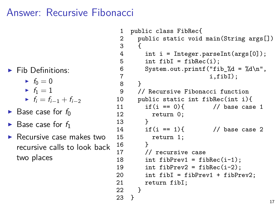### Answer: Recursive Fibonacci

- $\blacktriangleright$  Fib Definitions:
	- $\blacktriangleright$   $f_0 = 0$
	- $\blacktriangleright$   $f_1 = 1$
	- $\blacksquare$  f<sub>i</sub> = f<sub>i-1</sub> + f<sub>i-2</sub>
- $\blacktriangleright$  Base case for  $f_0$
- $\blacktriangleright$  Base case for  $f_1$
- $\blacktriangleright$  Recursive case makes two recursive calls to look back two places

```
1 public class FibRec{
2 public static void main(String args[])<br>3 {
 3 {
4 int i = Integer.parseInt(args[0]);<br>5 int fibI = fibRec(i):
5 int fibI = fibRec(i);<br>6 System.out.printf("fi
6 System.out.printf("fib_%d = %d\n",<br>7 i.fibI):
     i, fibI);8 }
     9 // Recursive Fibonacci function
10 public static int fibRec(int i){
11 if(i == 0) \{ // base case 1
12 return 0;
13 }
14 if(i == 1){ // base case 2
15 return 1;<br>16 }
16 }
17 // recursive case
18 int fibPrev1 = fibRec(i-1):
19 int fibPrev2 = fibRec(i-2);
20 int fibI = fibPrev1 + fibPrev2;
21 return fibI;<br>22 }
22 }
23 }
                                           17
```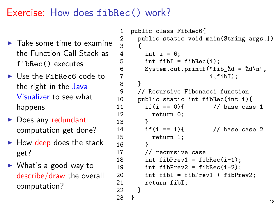# Exercise: How does fibRec() work?

- $\blacktriangleright$  Take some time to examine the Function Call Stack as fibRec() executes
- $\blacktriangleright$  Use the FibRec6 code to the right in the [Java](https://cscircles.cemc.uwaterloo.ca/java_visualize/) [Visualizer](https://cscircles.cemc.uwaterloo.ca/java_visualize/) to see what happens
- $\blacktriangleright$  Does any redundant computation get done?
- $\blacktriangleright$  How deep does the stack get?
- $\triangleright$  What's a good way to describe/draw the overall computation?

```
1 public class FibRec6{
     public static void main(String args[])
3 {
4 int i = 6;<br>5 int fibI =
5 int fibI = fibRec(i);<br>6 System.out.printf("fi
6 System.out.printf("fib_%d = %d\n",<br>7 i.fibI);
7 i,fibI);
8 }
      9 // Recursive Fibonacci function
10 public static int fibRec(int i){<br>11 if(i == 0){ // base case
11 if(i == 0) // base case 1
12 return 0;
13 }
14 if(i == 1){ // base case 2
15 return 1;<br>16 }
16 }
17 // recursive case
18 int fibPrev1 = fibRec(i-1):
19 int fibPrev2 = fibRec(i-2);
20 int fibI = fibPrev1 + fibPrev2;
21 return fibI;
22 }
23 }
```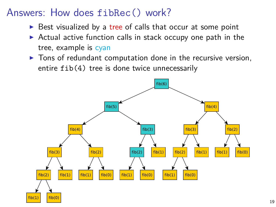## Answers: How does fibRec() work?

- $\triangleright$  Best visualized by a tree of calls that occur at some point
- $\triangleright$  Actual active function calls in stack occupy one path in the tree, example is cyan
- $\triangleright$  Tons of redundant computation done in the recursive version, entire fib(4) tree is done twice unnecessarily

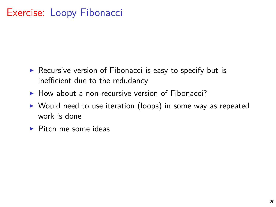## Exercise: Loopy Fibonacci

- $\triangleright$  Recursive version of Fibonacci is easy to specify but is inefficient due to the redudancy
- $\blacktriangleright$  How about a non-recursive version of Fibonacci?
- $\triangleright$  Would need to use iteration (loops) in some way as repeated work is done
- $\blacktriangleright$  Pitch me some ideas